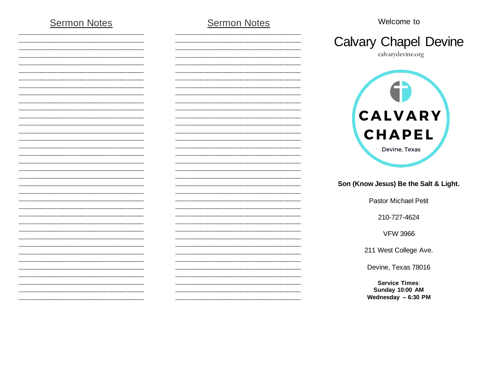## **Sermon Notes**

### **Sermon Notes**

Welcome to



calvarydevine.org



#### Son (Know Jesus) Be the Salt & Light.

**Pastor Michael Petit** 

210-727-4624

**VFW 3966** 

211 West College Ave.

Devine, Texas 78016

**Service Times: Sunday 10:00 AM** Wednesday  $-6:30$  PM